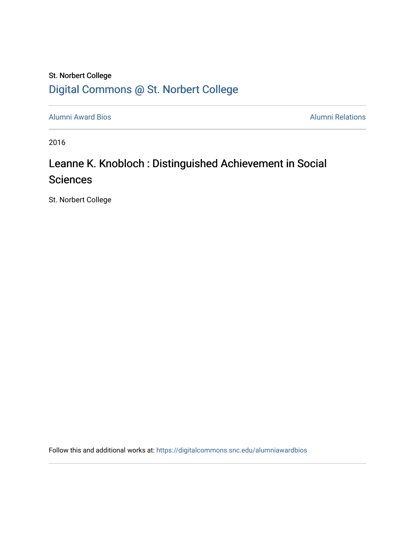### St. Norbert College [Digital Commons @ St. Norbert College](https://digitalcommons.snc.edu/)

[Alumni Award Bios](https://digitalcommons.snc.edu/alumniawardbios) **Alumni Relations** Alumni Relations

2016

## Leanne K. Knobloch : Distinguished Achievement in Social **Sciences**

St. Norbert College

Follow this and additional works at: [https://digitalcommons.snc.edu/alumniawardbios](https://digitalcommons.snc.edu/alumniawardbios?utm_source=digitalcommons.snc.edu%2Falumniawardbios%2F77&utm_medium=PDF&utm_campaign=PDFCoverPages)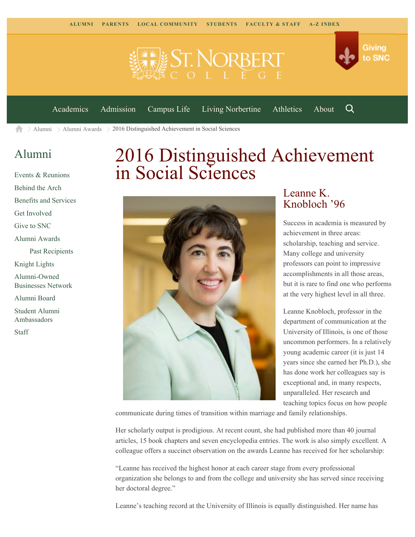



[Academics](https://www.snc.edu/academics) [Admission](https://www.snc.edu/admission) [Campus Life](https://www.snc.edu/campuslife) [Living Norbertine](https://www.snc.edu/livingnorbertine) [Athletics](https://www.snc.edu/athletics) [About](https://www.snc.edu/about)

Q

 $\geq$  [Alumni](https://www.snc.edu/alumni/)  $\geq$  [Alumni Awards](https://www.snc.edu/alumni/awards/)  $\geq$  2016 Distinguished Achievement in Social Sciences A

#### [Alumni](https://www.snc.edu/alumni/index.html)

[Events & Reunions](https://www.snc.edu/alumni/event/index.html) [Behind the Arch](https://www.snc.edu/alumni/event/behindthearch/) [Benefits and Services](https://www.snc.edu/alumni/benefits.html) [Get Involved](https://www.snc.edu/alumni/getinvolved.html) [Give to SNC](http://giving.snc.edu/) [Alumni Awards](https://www.snc.edu/alumni/awards/index.html) [Past Recipients](https://www.snc.edu/alumni/awards/recipients.html) [Knight Lights](https://www.snc.edu/alumni/knightlights/index.html) [Alumni-Owned](https://www.snc.edu/alumni/directory/index.html) [Businesses Network](https://www.snc.edu/alumni/directory/index.html) [Alumni Board](https://www.snc.edu/alumni/alumniboard.html) [Student Alumni](https://www.snc.edu/alumni/saa.html) [Ambassadors](https://www.snc.edu/alumni/saa.html) [Staff](https://www.snc.edu/alumni/contactus.html)

# 2016 Distinguished Achievement in Social Sciences



#### Leanne K. Knobloch '96

Success in academia is measured by achievement in three areas: scholarship, teaching and service. Many college and university professors can point to impressive accomplishments in all those areas, but it is rare to find one who performs at the very highest level in all three.

Leanne Knobloch, professor in the department of communication at the University of Illinois, is one of those uncommon performers. In a relatively young academic career (it is just 14 years since she earned her Ph.D.), she has done work her colleagues say is exceptional and, in many respects, unparalleled. Her research and teaching topics focus on how people

communicate during times of transition within marriage and family relationships.

Her scholarly output is prodigious. At recent count, she had published more than 40 journal articles, 15 book chapters and seven encyclopedia entries. The work is also simply excellent. A colleague offers a succinct observation on the awards Leanne has received for her scholarship:

"Leanne has received the highest honor at each career stage from every professional organization she belongs to and from the college and university she has served since receiving her doctoral degree."

Leanne's teaching record at the University of Illinois is equally distinguished. Her name has